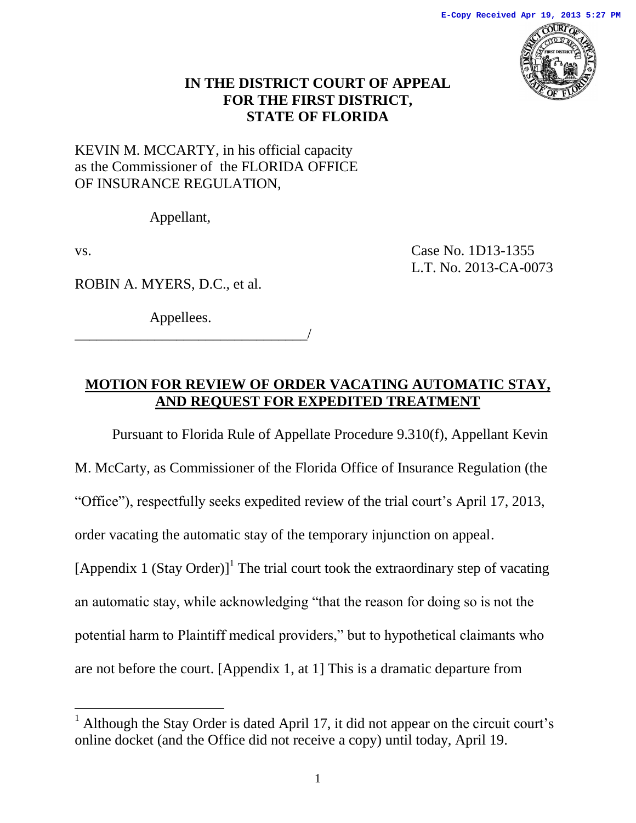

## **IN THE DISTRICT COURT OF APPEAL FOR THE FIRST DISTRICT, STATE OF FLORIDA**

KEVIN M. MCCARTY, in his official capacity as the Commissioner of the FLORIDA OFFICE OF INSURANCE REGULATION*,* 

Appellant,

 $\overline{a}$ 

vs. Case No. 1D13-1355 L.T. No. 2013-CA-0073

ROBIN A. MYERS, D.C., et al.

Appellees.

\_\_\_\_\_\_\_\_\_\_\_\_\_\_\_\_\_\_\_\_\_\_\_\_\_\_\_\_\_\_\_\_/

# **MOTION FOR REVIEW OF ORDER VACATING AUTOMATIC STAY, AND REQUEST FOR EXPEDITED TREATMENT**

Pursuant to Florida Rule of Appellate Procedure 9.310(f), Appellant Kevin M. McCarty, as Commissioner of the Florida Office of Insurance Regulation (the "Office"), respectfully seeks expedited review of the trial court's April 17, 2013, order vacating the automatic stay of the temporary injunction on appeal. [Appendix 1 (Stay Order)]<sup>1</sup> The trial court took the extraordinary step of vacating an automatic stay, while acknowledging "that the reason for doing so is not the potential harm to Plaintiff medical providers," but to hypothetical claimants who are not before the court. [Appendix 1, at 1] This is a dramatic departure from

<sup>&</sup>lt;sup>1</sup> Although the Stay Order is dated April 17, it did not appear on the circuit court's online docket (and the Office did not receive a copy) until today, April 19.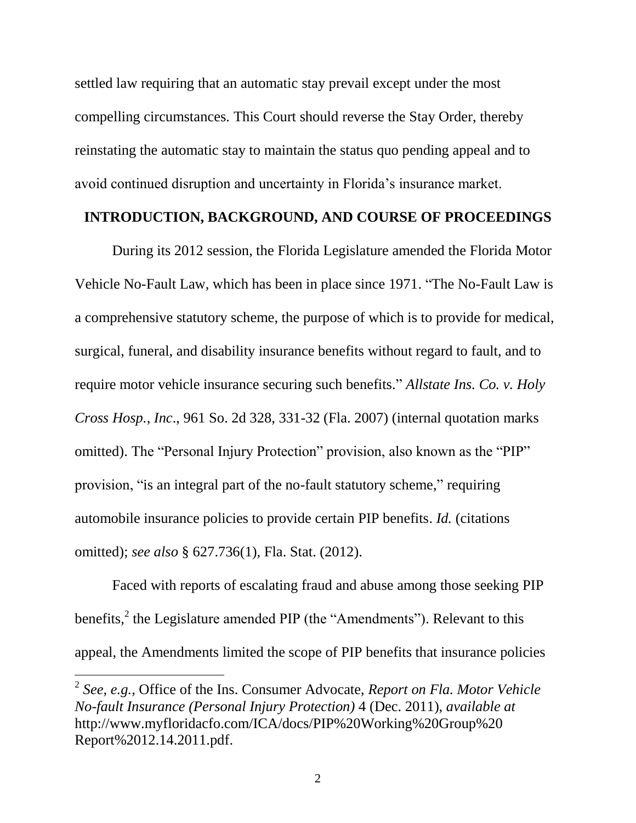settled law requiring that an automatic stay prevail except under the most compelling circumstances. This Court should reverse the Stay Order, thereby reinstating the automatic stay to maintain the status quo pending appeal and to avoid continued disruption and uncertainty in Florida's insurance market.

### **INTRODUCTION, BACKGROUND, AND COURSE OF PROCEEDINGS**

During its 2012 session, the Florida Legislature amended the Florida Motor Vehicle No-Fault Law, which has been in place since 1971. "The No-Fault Law is a comprehensive statutory scheme, the purpose of which is to provide for medical, surgical, funeral, and disability insurance benefits without regard to fault, and to require motor vehicle insurance securing such benefits." *Allstate Ins. Co. v. Holy Cross Hosp., Inc*., 961 So. 2d 328, 331-32 (Fla. 2007) (internal quotation marks omitted). The "Personal Injury Protection" provision, also known as the "PIP" provision, "is an integral part of the no-fault statutory scheme," requiring automobile insurance policies to provide certain PIP benefits. *Id.* (citations omitted); *see also* § 627.736(1), Fla. Stat. (2012).

Faced with reports of escalating fraud and abuse among those seeking PIP benefits,<sup>2</sup> the Legislature amended PIP (the "Amendments"). Relevant to this appeal, the Amendments limited the scope of PIP benefits that insurance policies

<sup>2</sup> *See, e.g.*, Office of the Ins. Consumer Advocate, *Report on Fla. Motor Vehicle No-fault Insurance (Personal Injury Protection)* 4 (Dec. 2011), *available at* http://www.myfloridacfo.com/ICA/docs/PIP%20Working%20Group%20 Report%2012.14.2011.pdf.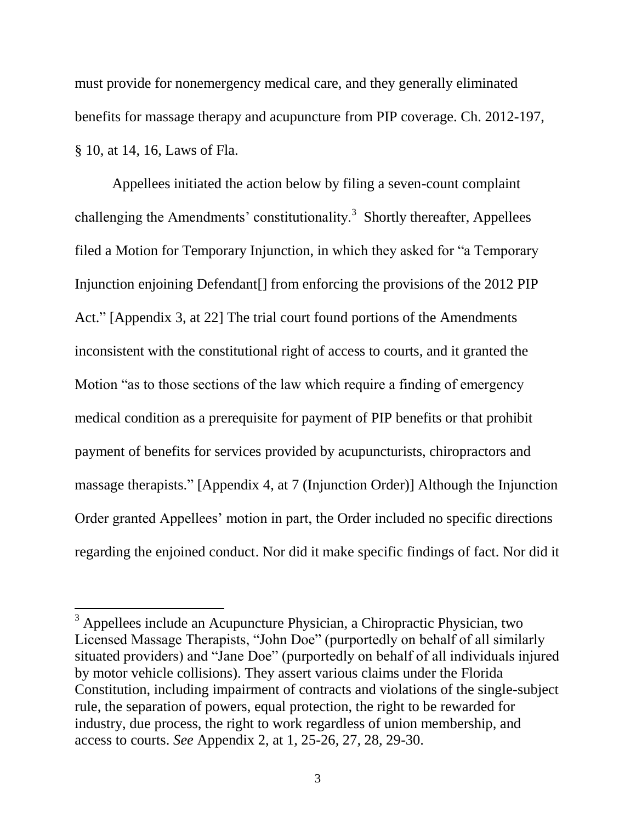must provide for nonemergency medical care, and they generally eliminated benefits for massage therapy and acupuncture from PIP coverage. Ch. 2012-197, § 10, at 14, 16, Laws of Fla.

Appellees initiated the action below by filing a seven-count complaint challenging the Amendments' constitutionality. $3$  Shortly thereafter, Appellees filed a Motion for Temporary Injunction, in which they asked for "a Temporary Injunction enjoining Defendant[] from enforcing the provisions of the 2012 PIP Act." [Appendix 3, at 22] The trial court found portions of the Amendments inconsistent with the constitutional right of access to courts, and it granted the Motion "as to those sections of the law which require a finding of emergency medical condition as a prerequisite for payment of PIP benefits or that prohibit payment of benefits for services provided by acupuncturists, chiropractors and massage therapists." [Appendix 4, at 7 (Injunction Order)] Although the Injunction Order granted Appellees' motion in part, the Order included no specific directions regarding the enjoined conduct. Nor did it make specific findings of fact. Nor did it

 $3$  Appellees include an Acupuncture Physician, a Chiropractic Physician, two Licensed Massage Therapists, "John Doe" (purportedly on behalf of all similarly situated providers) and "Jane Doe" (purportedly on behalf of all individuals injured by motor vehicle collisions). They assert various claims under the Florida Constitution, including impairment of contracts and violations of the single-subject rule, the separation of powers, equal protection, the right to be rewarded for industry, due process, the right to work regardless of union membership, and access to courts. *See* Appendix 2, at 1, 25-26, 27, 28, 29-30.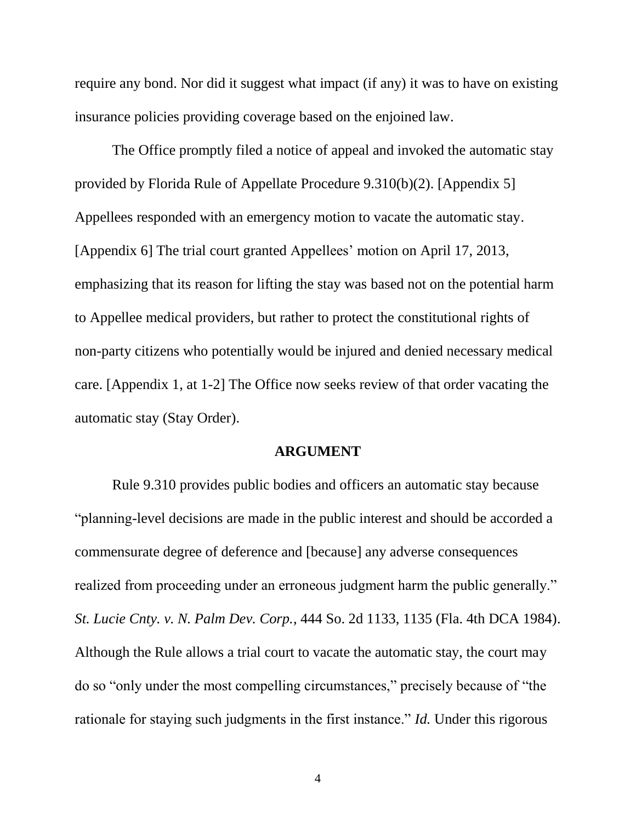require any bond. Nor did it suggest what impact (if any) it was to have on existing insurance policies providing coverage based on the enjoined law.

The Office promptly filed a notice of appeal and invoked the automatic stay provided by Florida Rule of Appellate Procedure 9.310(b)(2). [Appendix 5] Appellees responded with an emergency motion to vacate the automatic stay. [Appendix 6] The trial court granted Appellees' motion on April 17, 2013, emphasizing that its reason for lifting the stay was based not on the potential harm to Appellee medical providers, but rather to protect the constitutional rights of non-party citizens who potentially would be injured and denied necessary medical care. [Appendix 1, at 1-2] The Office now seeks review of that order vacating the automatic stay (Stay Order).

#### **ARGUMENT**

Rule 9.310 provides public bodies and officers an automatic stay because "planning-level decisions are made in the public interest and should be accorded a commensurate degree of deference and [because] any adverse consequences realized from proceeding under an erroneous judgment harm the public generally." *St. Lucie Cnty. v. N. Palm Dev. Corp.*, 444 So. 2d 1133, 1135 (Fla. 4th DCA 1984). Although the Rule allows a trial court to vacate the automatic stay, the court may do so "only under the most compelling circumstances," precisely because of "the rationale for staying such judgments in the first instance." *Id.* Under this rigorous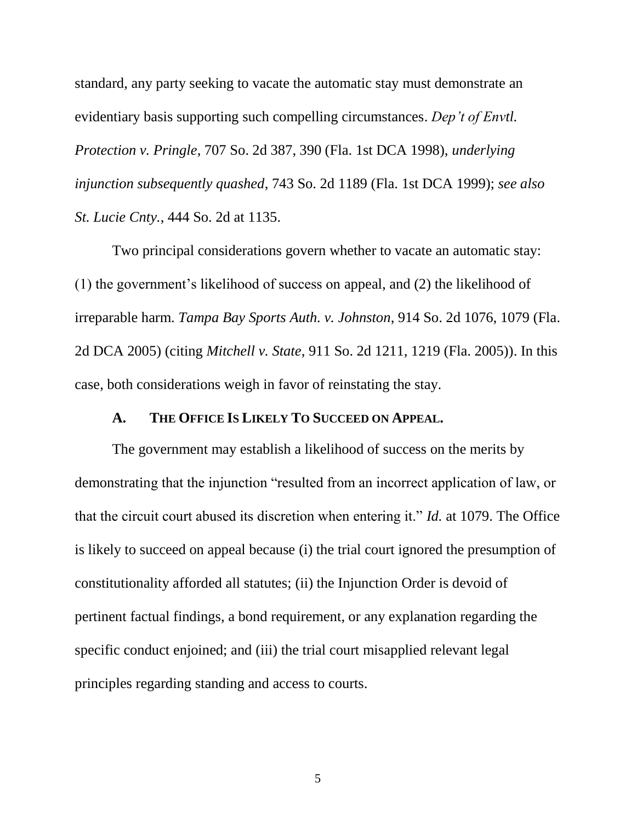standard, any party seeking to vacate the automatic stay must demonstrate an evidentiary basis supporting such compelling circumstances. *Dep't of Envtl. Protection v. Pringle*, 707 So. 2d 387, 390 (Fla. 1st DCA 1998), *underlying injunction subsequently quashed*, 743 So. 2d 1189 (Fla. 1st DCA 1999); *see also St. Lucie Cnty.*, 444 So. 2d at 1135.

Two principal considerations govern whether to vacate an automatic stay: (1) the government's likelihood of success on appeal, and (2) the likelihood of irreparable harm. *Tampa Bay Sports Auth. v. Johnston*, 914 So. 2d 1076, 1079 (Fla. 2d DCA 2005) (citing *Mitchell v. State*, 911 So. 2d 1211, 1219 (Fla. 2005)). In this case, both considerations weigh in favor of reinstating the stay.

### **A. THE OFFICE IS LIKELY TO SUCCEED ON APPEAL.**

The government may establish a likelihood of success on the merits by demonstrating that the injunction "resulted from an incorrect application of law, or that the circuit court abused its discretion when entering it." *Id.* at 1079. The Office is likely to succeed on appeal because (i) the trial court ignored the presumption of constitutionality afforded all statutes; (ii) the Injunction Order is devoid of pertinent factual findings, a bond requirement, or any explanation regarding the specific conduct enjoined; and (iii) the trial court misapplied relevant legal principles regarding standing and access to courts.

5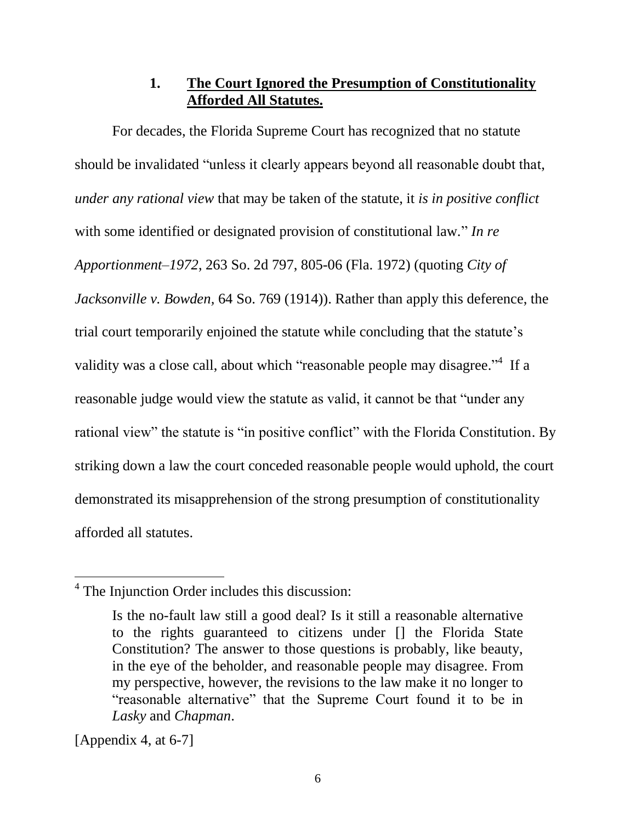## **1. The Court Ignored the Presumption of Constitutionality Afforded All Statutes.**

For decades, the Florida Supreme Court has recognized that no statute should be invalidated "unless it clearly appears beyond all reasonable doubt that, *under any rational view* that may be taken of the statute, it *is in positive conflict* with some identified or designated provision of constitutional law." *In re Apportionment–1972*, 263 So. 2d 797, 805-06 (Fla. 1972) (quoting *City of Jacksonville v. Bowden,* 64 So. 769 (1914)). Rather than apply this deference, the trial court temporarily enjoined the statute while concluding that the statute's validity was a close call, about which "reasonable people may disagree."<sup>4</sup> If a reasonable judge would view the statute as valid, it cannot be that "under any rational view" the statute is "in positive conflict" with the Florida Constitution. By striking down a law the court conceded reasonable people would uphold, the court demonstrated its misapprehension of the strong presumption of constitutionality afforded all statutes.

[Appendix 4, at 6-7]

<sup>&</sup>lt;sup>4</sup> The Injunction Order includes this discussion:

Is the no-fault law still a good deal? Is it still a reasonable alternative to the rights guaranteed to citizens under [] the Florida State Constitution? The answer to those questions is probably, like beauty, in the eye of the beholder, and reasonable people may disagree. From my perspective, however, the revisions to the law make it no longer to "reasonable alternative" that the Supreme Court found it to be in *Lasky* and *Chapman*.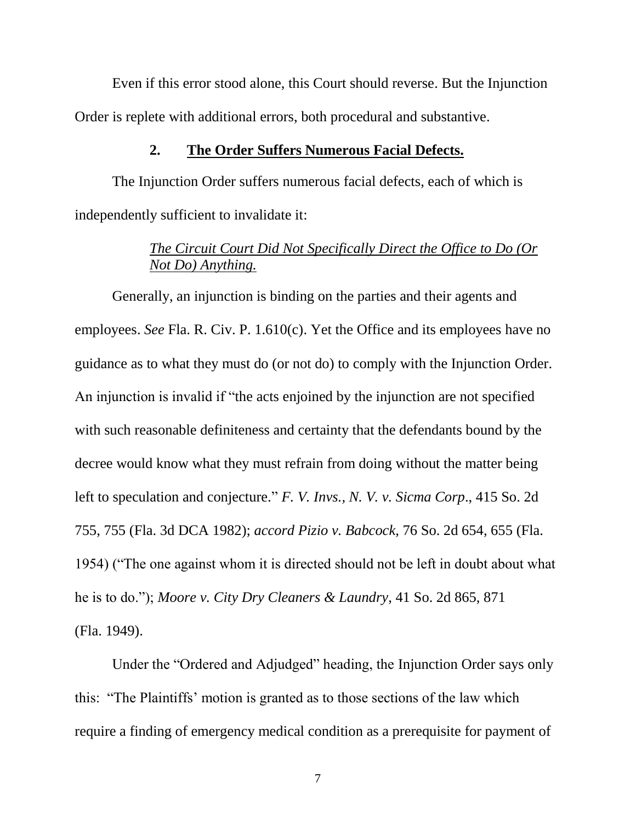Even if this error stood alone, this Court should reverse. But the Injunction Order is replete with additional errors, both procedural and substantive.

#### **2. The Order Suffers Numerous Facial Defects.**

The Injunction Order suffers numerous facial defects, each of which is independently sufficient to invalidate it:

# *The Circuit Court Did Not Specifically Direct the Office to Do (Or Not Do) Anything.*

Generally, an injunction is binding on the parties and their agents and employees. *See* Fla. R. Civ. P. 1.610(c). Yet the Office and its employees have no guidance as to what they must do (or not do) to comply with the Injunction Order. An injunction is invalid if "the acts enjoined by the injunction are not specified with such reasonable definiteness and certainty that the defendants bound by the decree would know what they must refrain from doing without the matter being left to speculation and conjecture." *F. V. Invs., N. V. v. Sicma Corp*., 415 So. 2d 755, 755 (Fla. 3d DCA 1982); *accord Pizio v. Babcock*, 76 So. 2d 654, 655 (Fla. 1954) ("The one against whom it is directed should not be left in doubt about what he is to do."); *Moore v. City Dry Cleaners & Laundry*, 41 So. 2d 865, 871 (Fla. 1949).

Under the "Ordered and Adjudged" heading, the Injunction Order says only this: "The Plaintiffs' motion is granted as to those sections of the law which require a finding of emergency medical condition as a prerequisite for payment of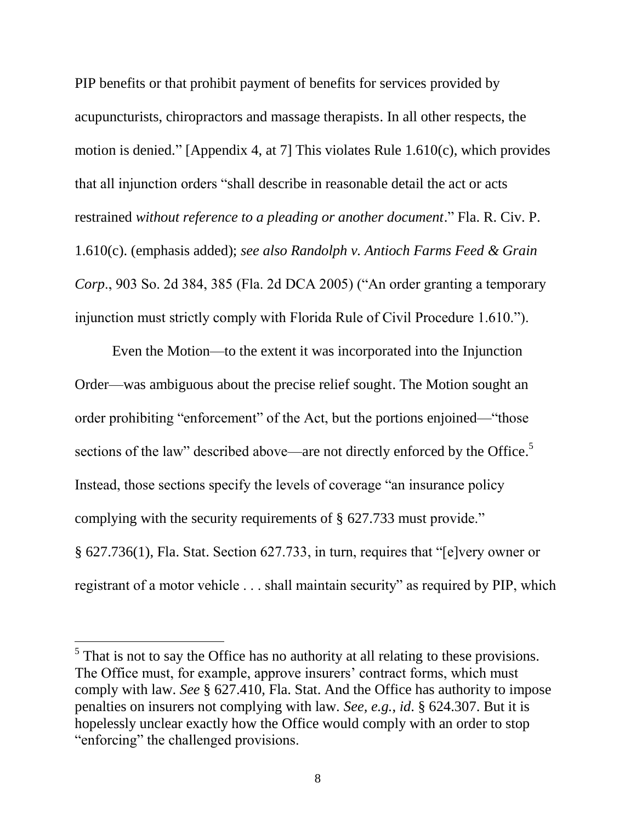PIP benefits or that prohibit payment of benefits for services provided by acupuncturists, chiropractors and massage therapists. In all other respects, the motion is denied." [Appendix 4, at 7] This violates Rule 1.610(c), which provides that all injunction orders "shall describe in reasonable detail the act or acts restrained *without reference to a pleading or another document*." Fla. R. Civ. P. 1.610(c). (emphasis added); *see also Randolph v. Antioch Farms Feed & Grain Corp*., 903 So. 2d 384, 385 (Fla. 2d DCA 2005) ("An order granting a temporary injunction must strictly comply with Florida Rule of Civil Procedure 1.610.").

Even the Motion—to the extent it was incorporated into the Injunction Order—was ambiguous about the precise relief sought. The Motion sought an order prohibiting "enforcement" of the Act, but the portions enjoined—"those sections of the law" described above—are not directly enforced by the Office.<sup>5</sup> Instead, those sections specify the levels of coverage "an insurance policy complying with the security requirements of § 627.733 must provide." § 627.736(1), Fla. Stat. Section 627.733, in turn, requires that "[e]very owner or registrant of a motor vehicle . . . shall maintain security" as required by PIP, which

 $<sup>5</sup>$  That is not to say the Office has no authority at all relating to these provisions.</sup> The Office must, for example, approve insurers' contract forms, which must comply with law. *See* § 627.410, Fla. Stat. And the Office has authority to impose penalties on insurers not complying with law. *See, e.g.*, *id*. § 624.307. But it is hopelessly unclear exactly how the Office would comply with an order to stop "enforcing" the challenged provisions.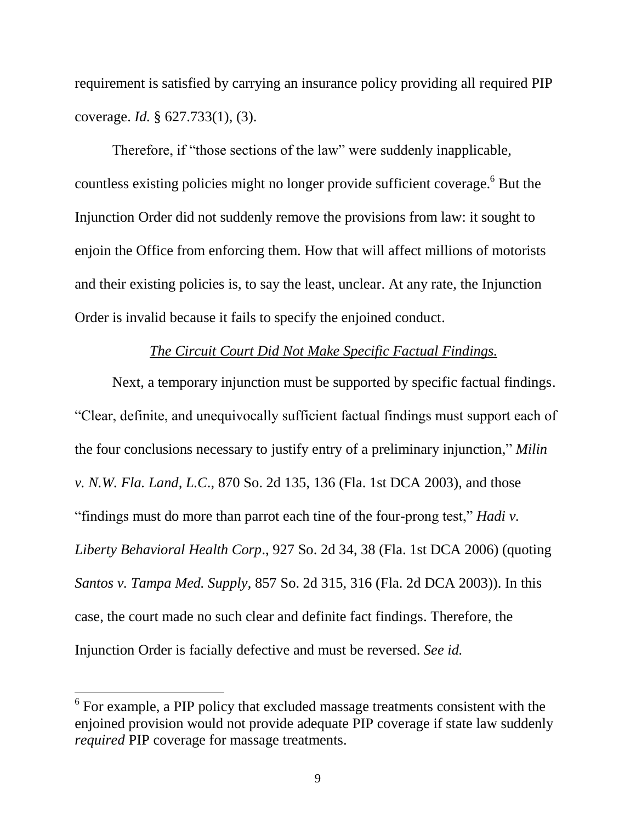requirement is satisfied by carrying an insurance policy providing all required PIP coverage. *Id.* § 627.733(1), (3).

Therefore, if "those sections of the law" were suddenly inapplicable, countless existing policies might no longer provide sufficient coverage.<sup>6</sup> But the Injunction Order did not suddenly remove the provisions from law: it sought to enjoin the Office from enforcing them. How that will affect millions of motorists and their existing policies is, to say the least, unclear. At any rate, the Injunction Order is invalid because it fails to specify the enjoined conduct.

### *The Circuit Court Did Not Make Specific Factual Findings.*

Next, a temporary injunction must be supported by specific factual findings. "Clear, definite, and unequivocally sufficient factual findings must support each of the four conclusions necessary to justify entry of a preliminary injunction," *Milin v. N.W. Fla. Land, L.C*., 870 So. 2d 135, 136 (Fla. 1st DCA 2003), and those "findings must do more than parrot each tine of the four-prong test," *Hadi v. Liberty Behavioral Health Corp*., 927 So. 2d 34, 38 (Fla. 1st DCA 2006) (quoting *Santos v. Tampa Med. Supply*, 857 So. 2d 315, 316 (Fla. 2d DCA 2003)). In this case, the court made no such clear and definite fact findings. Therefore, the Injunction Order is facially defective and must be reversed. *See id.*

 $6$  For example, a PIP policy that excluded massage treatments consistent with the enjoined provision would not provide adequate PIP coverage if state law suddenly *required* PIP coverage for massage treatments.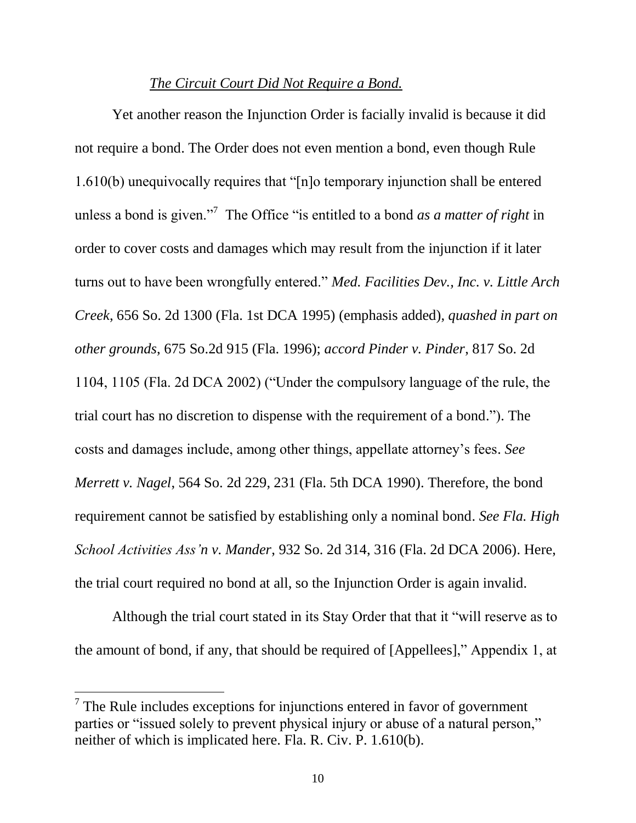### *The Circuit Court Did Not Require a Bond.*

Yet another reason the Injunction Order is facially invalid is because it did not require a bond. The Order does not even mention a bond, even though Rule 1.610(b) unequivocally requires that "[n]o temporary injunction shall be entered unless a bond is given."<sup>7</sup> The Office "is entitled to a bond *as a matter of right* in order to cover costs and damages which may result from the injunction if it later turns out to have been wrongfully entered." *Med. Facilities Dev., Inc. v. Little Arch Creek*, 656 So. 2d 1300 (Fla. 1st DCA 1995) (emphasis added), *quashed in part on other grounds*, 675 So.2d 915 (Fla. 1996); *accord Pinder v. Pinder*, 817 So. 2d 1104, 1105 (Fla. 2d DCA 2002) ("Under the compulsory language of the rule, the trial court has no discretion to dispense with the requirement of a bond."). The costs and damages include, among other things, appellate attorney's fees. *See Merrett v. Nagel*, 564 So. 2d 229, 231 (Fla. 5th DCA 1990). Therefore, the bond requirement cannot be satisfied by establishing only a nominal bond. *See Fla. High School Activities Ass'n v. Mander*, 932 So. 2d 314, 316 (Fla. 2d DCA 2006). Here, the trial court required no bond at all, so the Injunction Order is again invalid.

Although the trial court stated in its Stay Order that that it "will reserve as to the amount of bond, if any, that should be required of [Appellees]," Appendix 1, at

 $<sup>7</sup>$  The Rule includes exceptions for injunctions entered in favor of government</sup> parties or "issued solely to prevent physical injury or abuse of a natural person," neither of which is implicated here. Fla. R. Civ. P. 1.610(b).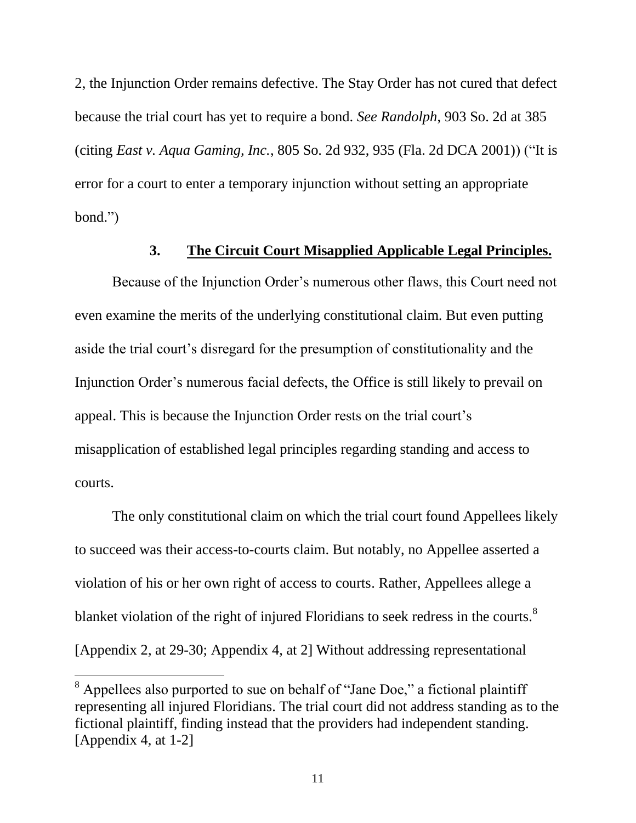2, the Injunction Order remains defective. The Stay Order has not cured that defect because the trial court has yet to require a bond. *See Randolph*, 903 So. 2d at 385 (citing *East v. Aqua Gaming, Inc.*, 805 So. 2d 932, 935 (Fla. 2d DCA 2001)) ("It is error for a court to enter a temporary injunction without setting an appropriate bond.")

## **3. The Circuit Court Misapplied Applicable Legal Principles.**

Because of the Injunction Order's numerous other flaws, this Court need not even examine the merits of the underlying constitutional claim. But even putting aside the trial court's disregard for the presumption of constitutionality and the Injunction Order's numerous facial defects, the Office is still likely to prevail on appeal. This is because the Injunction Order rests on the trial court's misapplication of established legal principles regarding standing and access to courts.

The only constitutional claim on which the trial court found Appellees likely to succeed was their access-to-courts claim. But notably, no Appellee asserted a violation of his or her own right of access to courts. Rather, Appellees allege a blanket violation of the right of injured Floridians to seek redress in the courts.<sup>8</sup> [Appendix 2, at 29-30; Appendix 4, at 2] Without addressing representational

 $8$  Appellees also purported to sue on behalf of "Jane Doe," a fictional plaintiff representing all injured Floridians. The trial court did not address standing as to the fictional plaintiff, finding instead that the providers had independent standing. [Appendix 4, at 1-2]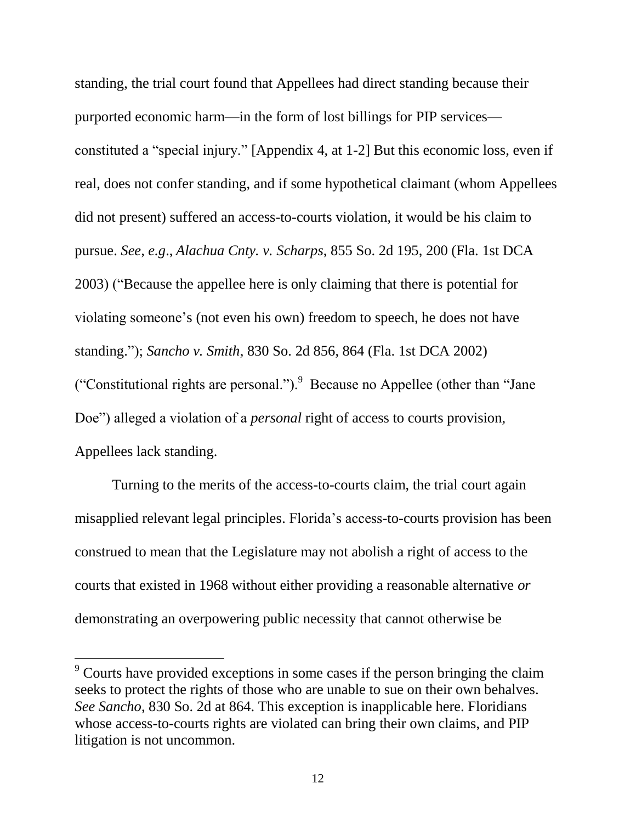standing, the trial court found that Appellees had direct standing because their purported economic harm—in the form of lost billings for PIP services constituted a "special injury." [Appendix 4, at 1-2] But this economic loss, even if real, does not confer standing, and if some hypothetical claimant (whom Appellees did not present) suffered an access-to-courts violation, it would be his claim to pursue. *See, e.g*., *Alachua Cnty. v. Scharps*, 855 So. 2d 195, 200 (Fla. 1st DCA 2003) ("Because the appellee here is only claiming that there is potential for violating someone's (not even his own) freedom to speech, he does not have standing."); *Sancho v. Smith*, 830 So. 2d 856, 864 (Fla. 1st DCA 2002) ("Constitutional rights are personal.").  $9$  Because no Appellee (other than "Jane") Doe") alleged a violation of a *personal* right of access to courts provision, Appellees lack standing.

Turning to the merits of the access-to-courts claim, the trial court again misapplied relevant legal principles. Florida's access-to-courts provision has been construed to mean that the Legislature may not abolish a right of access to the courts that existed in 1968 without either providing a reasonable alternative *or* demonstrating an overpowering public necessity that cannot otherwise be

 $9^{\circ}$  Courts have provided exceptions in some cases if the person bringing the claim seeks to protect the rights of those who are unable to sue on their own behalves. *See Sancho*, 830 So. 2d at 864. This exception is inapplicable here. Floridians whose access-to-courts rights are violated can bring their own claims, and PIP litigation is not uncommon.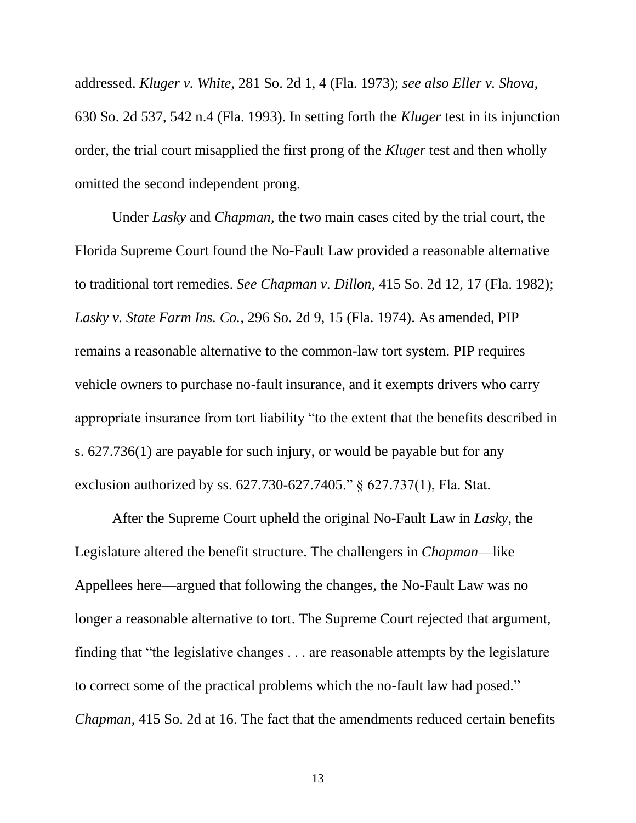addressed. *Kluger v. White*, 281 So. 2d 1, 4 (Fla. 1973); *see also Eller v. Shova*, 630 So. 2d 537, 542 n.4 (Fla. 1993). In setting forth the *Kluger* test in its injunction order, the trial court misapplied the first prong of the *Kluger* test and then wholly omitted the second independent prong.

Under *Lasky* and *Chapman*, the two main cases cited by the trial court, the Florida Supreme Court found the No-Fault Law provided a reasonable alternative to traditional tort remedies. *See Chapman v. Dillon*, 415 So. 2d 12, 17 (Fla. 1982); *Lasky v. State Farm Ins. Co.*, 296 So. 2d 9, 15 (Fla. 1974). As amended, PIP remains a reasonable alternative to the common-law tort system. PIP requires vehicle owners to purchase no-fault insurance, and it exempts drivers who carry appropriate insurance from tort liability "to the extent that the benefits described in s. 627.736(1) are payable for such injury, or would be payable but for any exclusion authorized by ss. 627.730-627.7405." § 627.737(1), Fla. Stat.

After the Supreme Court upheld the original No-Fault Law in *Lasky*, the Legislature altered the benefit structure. The challengers in *Chapman*—like Appellees here—argued that following the changes, the No-Fault Law was no longer a reasonable alternative to tort. The Supreme Court rejected that argument, finding that "the legislative changes . . . are reasonable attempts by the legislature to correct some of the practical problems which the no-fault law had posed." *Chapman*, 415 So. 2d at 16. The fact that the amendments reduced certain benefits

13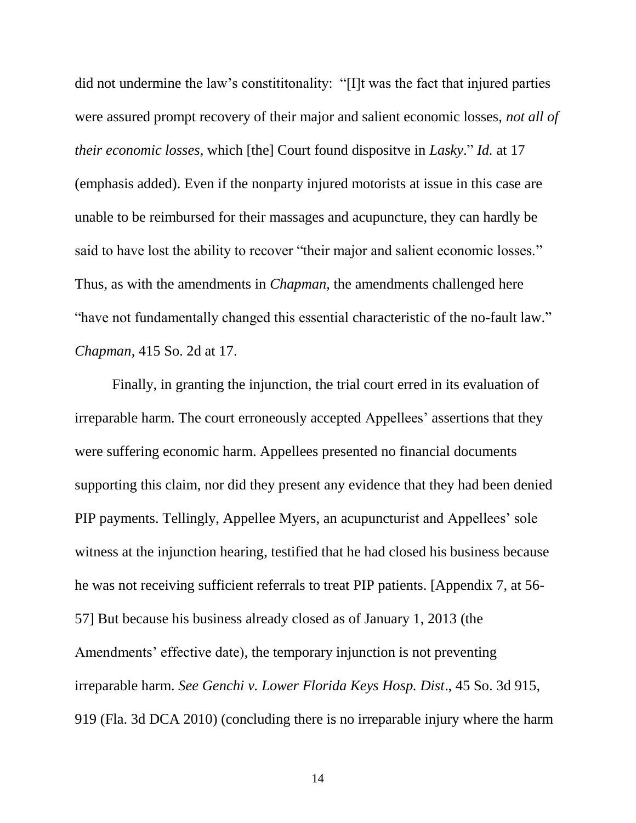did not undermine the law's constititonality: "[I]t was the fact that injured parties were assured prompt recovery of their major and salient economic losses, *not all of their economic losses*, which [the] Court found dispositve in *Lasky*." *Id.* at 17 (emphasis added). Even if the nonparty injured motorists at issue in this case are unable to be reimbursed for their massages and acupuncture, they can hardly be said to have lost the ability to recover "their major and salient economic losses." Thus, as with the amendments in *Chapman*, the amendments challenged here "have not fundamentally changed this essential characteristic of the no-fault law." *Chapman*, 415 So. 2d at 17.

Finally, in granting the injunction, the trial court erred in its evaluation of irreparable harm. The court erroneously accepted Appellees' assertions that they were suffering economic harm. Appellees presented no financial documents supporting this claim, nor did they present any evidence that they had been denied PIP payments. Tellingly, Appellee Myers, an acupuncturist and Appellees' sole witness at the injunction hearing, testified that he had closed his business because he was not receiving sufficient referrals to treat PIP patients. [Appendix 7, at 56- 57] But because his business already closed as of January 1, 2013 (the Amendments' effective date), the temporary injunction is not preventing irreparable harm. *See Genchi v. Lower Florida Keys Hosp. Dist*., 45 So. 3d 915, 919 (Fla. 3d DCA 2010) (concluding there is no irreparable injury where the harm

14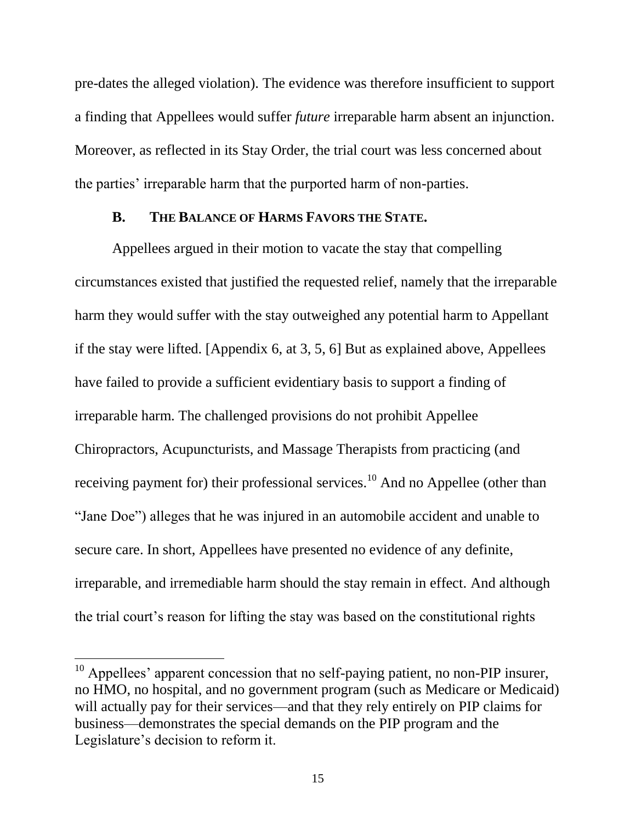pre-dates the alleged violation). The evidence was therefore insufficient to support a finding that Appellees would suffer *future* irreparable harm absent an injunction. Moreover, as reflected in its Stay Order, the trial court was less concerned about the parties' irreparable harm that the purported harm of non-parties.

### **B. THE BALANCE OF HARMS FAVORS THE STATE.**

Appellees argued in their motion to vacate the stay that compelling circumstances existed that justified the requested relief, namely that the irreparable harm they would suffer with the stay outweighed any potential harm to Appellant if the stay were lifted. [Appendix 6, at 3, 5, 6] But as explained above, Appellees have failed to provide a sufficient evidentiary basis to support a finding of irreparable harm. The challenged provisions do not prohibit Appellee Chiropractors, Acupuncturists, and Massage Therapists from practicing (and receiving payment for) their professional services.<sup>10</sup> And no Appellee (other than "Jane Doe") alleges that he was injured in an automobile accident and unable to secure care. In short, Appellees have presented no evidence of any definite, irreparable, and irremediable harm should the stay remain in effect. And although the trial court's reason for lifting the stay was based on the constitutional rights

 $10$  Appellees' apparent concession that no self-paying patient, no non-PIP insurer, no HMO, no hospital, and no government program (such as Medicare or Medicaid) will actually pay for their services—and that they rely entirely on PIP claims for business—demonstrates the special demands on the PIP program and the Legislature's decision to reform it.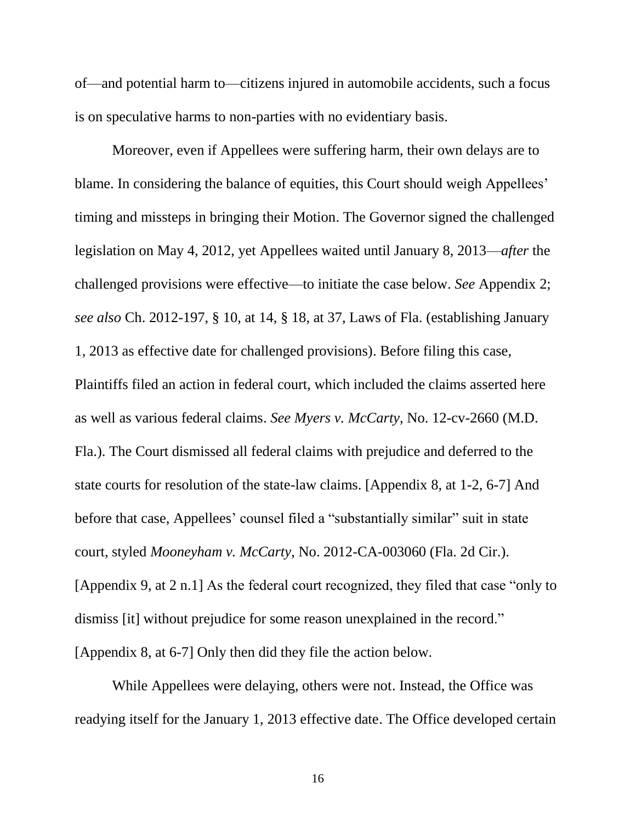of—and potential harm to—citizens injured in automobile accidents, such a focus is on speculative harms to non-parties with no evidentiary basis.

Moreover, even if Appellees were suffering harm, their own delays are to blame. In considering the balance of equities, this Court should weigh Appellees' timing and missteps in bringing their Motion. The Governor signed the challenged legislation on May 4, 2012, yet Appellees waited until January 8, 2013—*after* the challenged provisions were effective—to initiate the case below. *See* Appendix 2; *see also* Ch. 2012-197, § 10, at 14, § 18, at 37, Laws of Fla. (establishing January 1, 2013 as effective date for challenged provisions). Before filing this case, Plaintiffs filed an action in federal court, which included the claims asserted here as well as various federal claims. *See Myers v. McCarty*, No. 12-cv-2660 (M.D. Fla.). The Court dismissed all federal claims with prejudice and deferred to the state courts for resolution of the state-law claims. [Appendix 8, at 1-2, 6-7] And before that case, Appellees' counsel filed a "substantially similar" suit in state court, styled *Mooneyham v. McCarty*, No. 2012-CA-003060 (Fla. 2d Cir.). [Appendix 9, at 2 n.1] As the federal court recognized, they filed that case "only to dismiss [it] without prejudice for some reason unexplained in the record." [Appendix 8, at 6-7] Only then did they file the action below.

While Appellees were delaying, others were not. Instead, the Office was readying itself for the January 1, 2013 effective date. The Office developed certain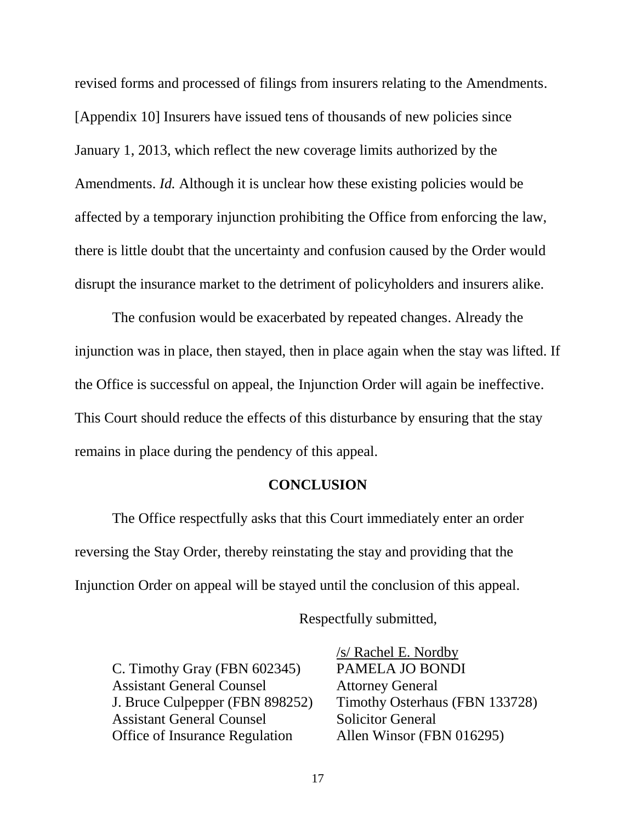revised forms and processed of filings from insurers relating to the Amendments. [Appendix 10] Insurers have issued tens of thousands of new policies since January 1, 2013, which reflect the new coverage limits authorized by the Amendments. *Id.* Although it is unclear how these existing policies would be affected by a temporary injunction prohibiting the Office from enforcing the law, there is little doubt that the uncertainty and confusion caused by the Order would disrupt the insurance market to the detriment of policyholders and insurers alike.

The confusion would be exacerbated by repeated changes. Already the injunction was in place, then stayed, then in place again when the stay was lifted. If the Office is successful on appeal, the Injunction Order will again be ineffective. This Court should reduce the effects of this disturbance by ensuring that the stay remains in place during the pendency of this appeal.

### **CONCLUSION**

The Office respectfully asks that this Court immediately enter an order reversing the Stay Order, thereby reinstating the stay and providing that the Injunction Order on appeal will be stayed until the conclusion of this appeal.

Respectfully submitted,

C. Timothy Gray (FBN 602345) PAMELA JO BONDI Assistant General Counsel Attorney General Assistant General Counsel Solicitor General Office of Insurance Regulation Allen Winsor (FBN 016295)

/s/ Rachel E. Nordby J. Bruce Culpepper (FBN 898252) Timothy Osterhaus (FBN 133728)